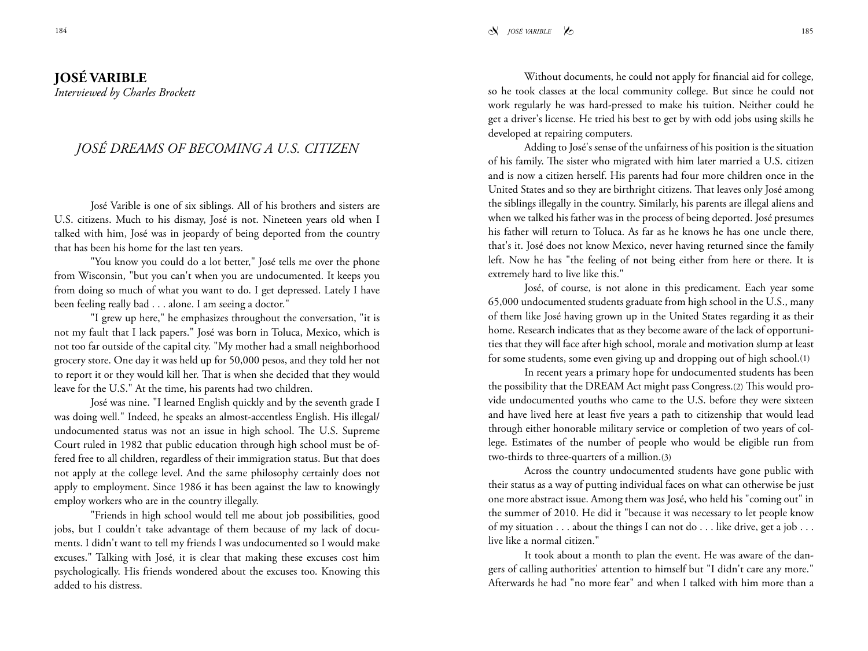## **JOSé VARIBLE**

*Interviewed by Charles Brockett*

## *JOSé DREAMS OF BECOMING A U.S. CITIZEN*

José Varible is one of six siblings. All of his brothers and sisters are U.S. citizens. Much to his dismay, José is not. Nineteen years old when I talked with him, José was in jeopardy of being deported from the country that has been his home for the last ten years.

"You know you could do a lot better," José tells me over the phone from Wisconsin, "but you can't when you are undocumented. It keeps you from doing so much of what you want to do. I get depressed. Lately I have been feeling really bad . . . alone. I am seeing a doctor."

"I grew up here," he emphasizes throughout the conversation, "it is not my fault that I lack papers." José was born in Toluca, Mexico, which is not too far outside of the capital city. "My mother had a small neighborhood grocery store. One day it was held up for 50,000 pesos, and they told her not to report it or they would kill her. That is when she decided that they would leave for the U.S." At the time, his parents had two children.

José was nine. "I learned English quickly and by the seventh grade I was doing well." Indeed, he speaks an almost-accentless English. His illegal/ undocumented status was not an issue in high school. The U.S. Supreme Court ruled in 1982 that public education through high school must be offered free to all children, regardless of their immigration status. But that does not apply at the college level. And the same philosophy certainly does not apply to employment. Since 1986 it has been against the law to knowingly employ workers who are in the country illegally.

"Friends in high school would tell me about job possibilities, good jobs, but I couldn't take advantage of them because of my lack of documents. I didn't want to tell my friends I was undocumented so I would make excuses." Talking with José, it is clear that making these excuses cost him psychologically. His friends wondered about the excuses too. Knowing this added to his distress.

Without documents, he could not apply for financial aid for college, so he took classes at the local community college. But since he could not work regularly he was hard-pressed to make his tuition. Neither could he get a driver's license. He tried his best to get by with odd jobs using skills he developed at repairing computers.

Adding to José's sense of the unfairness of his position is the situation of his family. The sister who migrated with him later married a U.S. citizen and is now a citizen herself. His parents had four more children once in the United States and so they are birthright citizens. That leaves only José among the siblings illegally in the country. Similarly, his parents are illegal aliens and when we talked his father was in the process of being deported. José presumes his father will return to Toluca. As far as he knows he has one uncle there, that's it. José does not know Mexico, never having returned since the family left. Now he has "the feeling of not being either from here or there. It is extremely hard to live like this."

José, of course, is not alone in this predicament. Each year some 65,000 undocumented students graduate from high school in the U.S., many of them like José having grown up in the United States regarding it as their home. Research indicates that as they become aware of the lack of opportunities that they will face after high school, morale and motivation slump at least for some students, some even giving up and dropping out of high school.(1)

In recent years a primary hope for undocumented students has been the possibility that the DREAM Act might pass Congress.(2) This would provide undocumented youths who came to the U.S. before they were sixteen and have lived here at least five years a path to citizenship that would lead through either honorable military service or completion of two years of college. Estimates of the number of people who would be eligible run from two-thirds to three-quarters of a million.(3)

Across the country undocumented students have gone public with their status as a way of putting individual faces on what can otherwise be just one more abstract issue. Among them was José, who held his "coming out" in the summer of 2010. He did it "because it was necessary to let people know of my situation . . . about the things I can not do . . . like drive, get a job . . . live like a normal citizen."

It took about a month to plan the event. He was aware of the dangers of calling authorities' attention to himself but "I didn't care any more." Afterwards he had "no more fear" and when I talked with him more than a